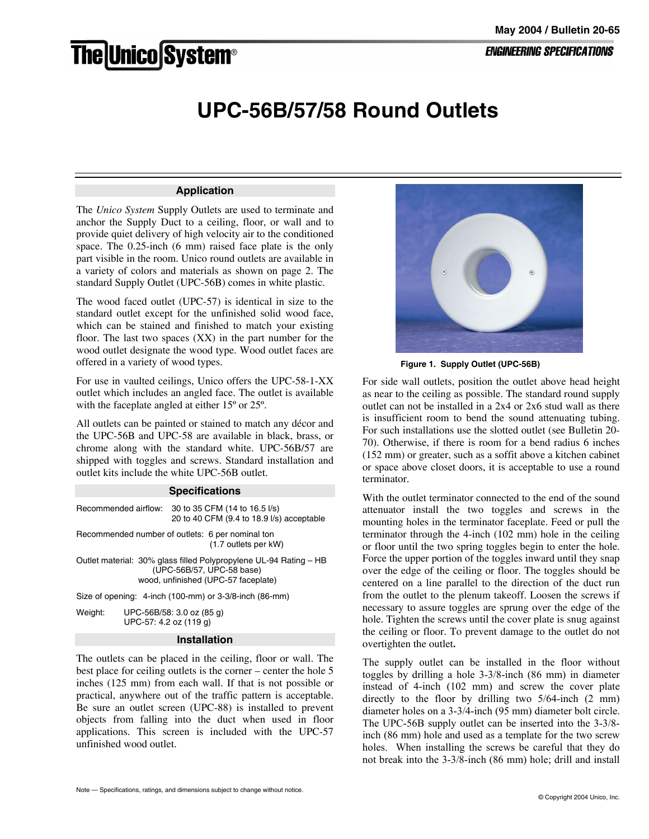# he|Unico|System®

## **UPC-56B/57/58 Round Outlets**

#### **Application**

The *Unico System* Supply Outlets are used to terminate and anchor the Supply Duct to a ceiling, floor, or wall and to provide quiet delivery of high velocity air to the conditioned space. The 0.25-inch (6 mm) raised face plate is the only part visible in the room. Unico round outlets are available in a variety of colors and materials as shown on page 2. The standard Supply Outlet (UPC-56B) comes in white plastic.

The wood faced outlet (UPC-57) is identical in size to the standard outlet except for the unfinished solid wood face, which can be stained and finished to match your existing floor. The last two spaces  $(XX)$  in the part number for the wood outlet designate the wood type. Wood outlet faces are offered in a variety of wood types.

For use in vaulted ceilings, Unico offers the UPC-58-1-XX outlet which includes an angled face. The outlet is available with the faceplate angled at either 15<sup>°</sup> or 25<sup>°</sup>.

All outlets can be painted or stained to match any décor and the UPC-56B and UPC-58 are available in black, brass, or chrome along with the standard white. UPC-56B/57 are shipped with toggles and screws. Standard installation and outlet kits include the white UPC-56B outlet.

#### **Specifications**

| Recommended airflow: | 30 to 35 CFM (14 to 16.5 l/s)<br>20 to 40 CFM (9.4 to 18.9 l/s) acceptable |
|----------------------|----------------------------------------------------------------------------|
|                      | Recommended number of outlets: 6 per nominal ton<br>(1.7 outlets per kW)   |

Outlet material: 30% glass filled Polypropylene UL-94 Rating – HB (UPC-56B/57, UPC-58 base) wood, unfinished (UPC-57 faceplate)

Size of opening: 4-inch (100-mm) or 3-3/8-inch (86-mm)

Weight: UPC-56B/58: 3.0 oz (85 g) UPC-57: 4.2 oz (119 g)

#### **Installation**

The outlets can be placed in the ceiling, floor or wall. The best place for ceiling outlets is the corner – center the hole 5 inches (125 mm) from each wall. If that is not possible or practical, anywhere out of the traffic pattern is acceptable. Be sure an outlet screen (UPC-88) is installed to prevent objects from falling into the duct when used in floor applications. This screen is included with the UPC-57 unfinished wood outlet.



 **Figure 1. Supply Outlet (UPC-56B)**

For side wall outlets, position the outlet above head height as near to the ceiling as possible. The standard round supply outlet can not be installed in a 2x4 or 2x6 stud wall as there is insufficient room to bend the sound attenuating tubing. For such installations use the slotted outlet (see Bulletin 20- 70). Otherwise, if there is room for a bend radius 6 inches (152 mm) or greater, such as a soffit above a kitchen cabinet or space above closet doors, it is acceptable to use a round terminator.

With the outlet terminator connected to the end of the sound attenuator install the two toggles and screws in the mounting holes in the terminator faceplate. Feed or pull the terminator through the 4-inch (102 mm) hole in the ceiling or floor until the two spring toggles begin to enter the hole. Force the upper portion of the toggles inward until they snap over the edge of the ceiling or floor. The toggles should be centered on a line parallel to the direction of the duct run from the outlet to the plenum takeoff. Loosen the screws if necessary to assure toggles are sprung over the edge of the hole. Tighten the screws until the cover plate is snug against the ceiling or floor. To prevent damage to the outlet do not overtighten the outlet**.**

The supply outlet can be installed in the floor without toggles by drilling a hole 3-3/8-inch (86 mm) in diameter instead of 4-inch (102 mm) and screw the cover plate directly to the floor by drilling two 5/64-inch (2 mm) diameter holes on a 3-3/4-inch (95 mm) diameter bolt circle. The UPC-56B supply outlet can be inserted into the 3-3/8 inch (86 mm) hole and used as a template for the two screw holes. When installing the screws be careful that they do not break into the 3-3/8-inch (86 mm) hole; drill and install